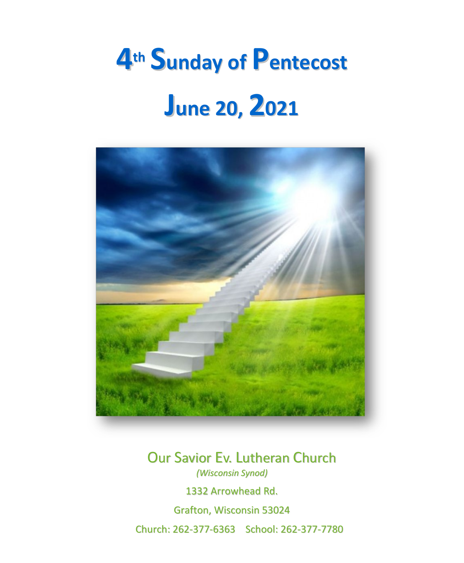# **4th Sunday of Pentecost June 20, 2021**



## Our Savior Ev. Lutheran Church *(Wisconsin Synod)*

1332 Arrowhead Rd.

Grafton, Wisconsin 53024

Church: 262-377-6363 School: 262-377-7780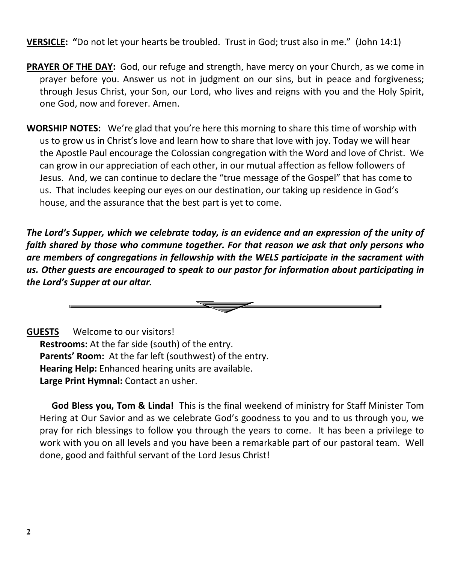**VERSICLE: "**Do not let your hearts be troubled. Trust in God; trust also in me." (John 14:1)

- **PRAYER OF THE DAY:** God, our refuge and strength, have mercy on your Church, as we come in prayer before you. Answer us not in judgment on our sins, but in peace and forgiveness; through Jesus Christ, your Son, our Lord, who lives and reigns with you and the Holy Spirit, one God, now and forever. Amen.
- **WORSHIP NOTES:** We're glad that you're here this morning to share this time of worship with us to grow us in Christ's love and learn how to share that love with joy. Today we will hear the Apostle Paul encourage the Colossian congregation with the Word and love of Christ. We can grow in our appreciation of each other, in our mutual affection as fellow followers of Jesus. And, we can continue to declare the "true message of the Gospel" that has come to us. That includes keeping our eyes on our destination, our taking up residence in God's house, and the assurance that the best part is yet to come.

*The Lord's Supper, which we celebrate today, is an evidence and an expression of the unity of faith shared by those who commune together. For that reason we ask that only persons who are members of congregations in fellowship with the WELS participate in the sacrament with us. Other guests are encouraged to speak to our pastor for information about participating in the Lord's Supper at our altar.*



**GUESTS** Welcome to our visitors! **Restrooms:** At the far side (south) of the entry. **Parents' Room:** At the far left (southwest) of the entry. **Hearing Help:** Enhanced hearing units are available. **Large Print Hymnal:** Contact an usher.

**God Bless you, Tom & Linda!** This is the final weekend of ministry for Staff Minister Tom Hering at Our Savior and as we celebrate God's goodness to you and to us through you, we pray for rich blessings to follow you through the years to come. It has been a privilege to work with you on all levels and you have been a remarkable part of our pastoral team. Well done, good and faithful servant of the Lord Jesus Christ!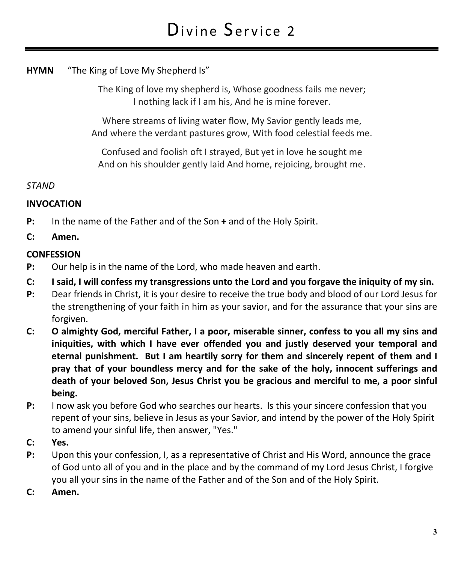### **HYMN** "The King of Love My Shepherd Is"

The King of love my shepherd is, Whose goodness fails me never; I nothing lack if I am his, And he is mine forever.

Where streams of living water flow, My Savior gently leads me, And where the verdant pastures grow, With food celestial feeds me.

Confused and foolish oft I strayed, But yet in love he sought me And on his shoulder gently laid And home, rejoicing, brought me.

#### *STAND*

#### **INVOCATION**

- **P:** In the name of the Father and of the Son **+** and of the Holy Spirit.
- **C: Amen.**

### **CONFESSION**

- **P:** Our help is in the name of the Lord, who made heaven and earth.
- **C: I said, I will confess my transgressions unto the Lord and you forgave the iniquity of my sin.**
- **P:** Dear friends in Christ, it is your desire to receive the true body and blood of our Lord Jesus for the strengthening of your faith in him as your savior, and for the assurance that your sins are forgiven.
- **C: O almighty God, merciful Father, I a poor, miserable sinner, confess to you all my sins and iniquities, with which I have ever offended you and justly deserved your temporal and eternal punishment. But I am heartily sorry for them and sincerely repent of them and I pray that of your boundless mercy and for the sake of the holy, innocent sufferings and death of your beloved Son, Jesus Christ you be gracious and merciful to me, a poor sinful being.**
- **P:** I now ask you before God who searches our hearts. Is this your sincere confession that you repent of your sins, believe in Jesus as your Savior, and intend by the power of the Holy Spirit to amend your sinful life, then answer, "Yes."
- **C: Yes.**
- **P:** Upon this your confession, I, as a representative of Christ and His Word, announce the grace of God unto all of you and in the place and by the command of my Lord Jesus Christ, I forgive you all your sins in the name of the Father and of the Son and of the Holy Spirit.
- **C: Amen.**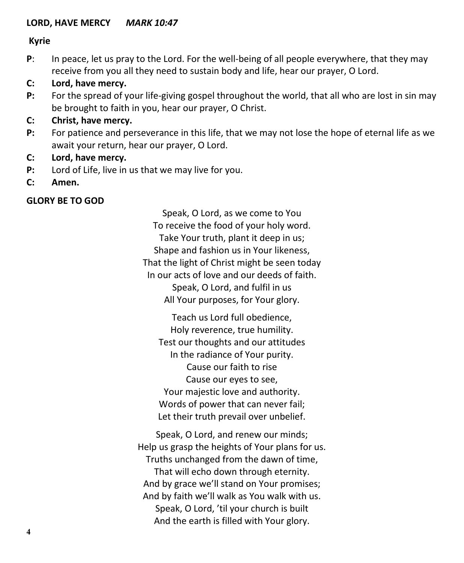#### **LORD, HAVE MERCY** *MARK 10:47*

#### **Kyrie**

- **P**: In peace, let us pray to the Lord. For the well-being of all people everywhere, that they may receive from you all they need to sustain body and life, hear our prayer, O Lord.
- **C: Lord, have mercy.**
- **P:** For the spread of your life-giving gospel throughout the world, that all who are lost in sin may be brought to faith in you, hear our prayer, O Christ.
- **C: Christ, have mercy.**
- **P:** For patience and perseverance in this life, that we may not lose the hope of eternal life as we await your return, hear our prayer, O Lord.
- **C: Lord, have mercy.**
- **P:** Lord of Life, live in us that we may live for you.
- **C: Amen.**

#### **GLORY BE TO GOD**

Speak, O Lord, as we come to You To receive the food of your holy word. Take Your truth, plant it deep in us; Shape and fashion us in Your likeness, That the light of Christ might be seen today In our acts of love and our deeds of faith. Speak, O Lord, and fulfil in us All Your purposes, for Your glory.

Teach us Lord full obedience, Holy reverence, true humility. Test our thoughts and our attitudes In the radiance of Your purity. Cause our faith to rise Cause our eyes to see, Your majestic love and authority. Words of power that can never fail; Let their truth prevail over unbelief.

Speak, O Lord, and renew our minds; Help us grasp the heights of Your plans for us. Truths unchanged from the dawn of time, That will echo down through eternity. And by grace we'll stand on Your promises; And by faith we'll walk as You walk with us. Speak, O Lord, 'til your church is built And the earth is filled with Your glory.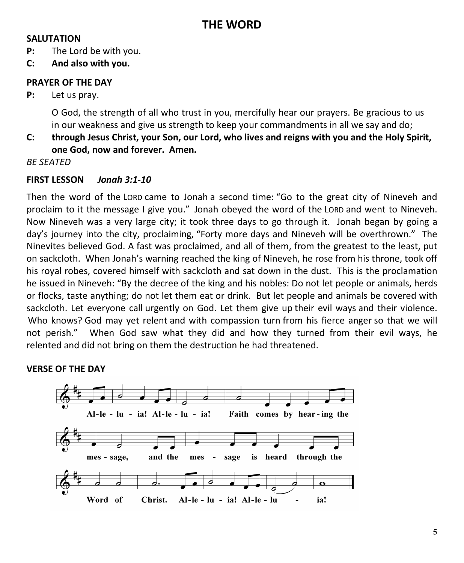# **THE WORD**

#### **SALUTATION**

**P:** The Lord be with you.

**C: And also with you.**

#### **PRAYER OF THE DAY**

**P:** Let us pray.

O God, the strength of all who trust in you, mercifully hear our prayers. Be gracious to us in our weakness and give us strength to keep your commandments in all we say and do;

**C: through Jesus Christ, your Son, our Lord, who lives and reigns with you and the Holy Spirit, one God, now and forever. Amen.**

*BE SEATED* 

#### **FIRST LESSON** *Jonah 3:1-10*

Then the word of the LORD came to Jonah a second time: "Go to the great city of Nineveh and proclaim to it the message I give you." Jonah obeyed the word of the LORD and went to Nineveh. Now Nineveh was a very large city; it took three days to go through it. Jonah began by going a day's journey into the city, proclaiming, "Forty more days and Nineveh will be overthrown." The Ninevites believed God. A fast was proclaimed, and all of them, from the greatest to the least, put on sackcloth. When Jonah's warning reached the king of Nineveh, he rose from his throne, took off his royal robes, covered himself with sackcloth and sat down in the dust. This is the proclamation he issued in Nineveh: "By the decree of the king and his nobles: Do not let people or animals, herds or flocks, taste anything; do not let them eat or drink. But let people and animals be covered with sackcloth. Let everyone call urgently on God. Let them give up their evil ways and their violence. Who knows? God may yet relent and with compassion turn from his fierce anger so that we will not perish." When God saw what they did and how they turned from their evil ways, he relented and did not bring on them the destruction he had threatened.

#### **VERSE OF THE DAY**

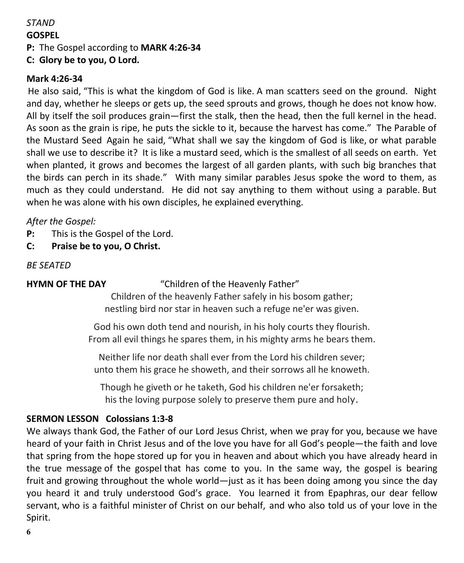# *STAND*

#### **GOSPEL P:** The Gospel according to **MARK 4:26-34**

**C: Glory be to you, O Lord.**

### **Mark 4:26-34**

He also said, "This is what the kingdom of God is like. A man scatters seed on the ground. Night and day, whether he sleeps or gets up, the seed sprouts and grows, though he does not know how. All by itself the soil produces grain—first the stalk, then the head, then the full kernel in the head. As soon as the grain is ripe, he puts the sickle to it, because the harvest has come." The Parable of the Mustard Seed Again he said, "What shall we say the kingdom of God is like, or what parable shall we use to describe it? It is like a mustard seed, which is the smallest of all seeds on earth. Yet when planted, it grows and becomes the largest of all garden plants, with such big branches that the birds can perch in its shade." With many similar parables Jesus spoke the word to them, as much as they could understand. He did not say anything to them without using a parable. But when he was alone with his own disciples, he explained everything.

#### *After the Gospel:*

- **P:** This is the Gospel of the Lord.
- **C: Praise be to you, O Christ.**

*BE SEATED*

**HYMN OF THE DAY**"Children of the Heavenly Father"

Children of the heavenly Father safely in his bosom gather; nestling bird nor star in heaven such a refuge ne'er was given.

God his own doth tend and nourish, in his holy courts they flourish. From all evil things he spares them, in his mighty arms he bears them.

Neither life nor death shall ever from the Lord his children sever; unto them his grace he showeth, and their sorrows all he knoweth.

Though he giveth or he taketh, God his children ne'er forsaketh; his the loving purpose solely to preserve them pure and holy.

### **SERMON LESSON Colossians 1:3-8**

We always thank God, the Father of our Lord Jesus Christ, when we pray for you, because we have heard of your faith in Christ Jesus and of the love you have for all God's people—the faith and love that spring from the hope stored up for you in heaven and about which you have already heard in the true message of the gospel that has come to you. In the same way, the gospel is bearing fruit and growing throughout the whole world—just as it has been doing among you since the day you heard it and truly understood God's grace. You learned it from Epaphras, our dear fellow servant, who is a faithful minister of Christ on our behalf, and who also told us of your love in the Spirit.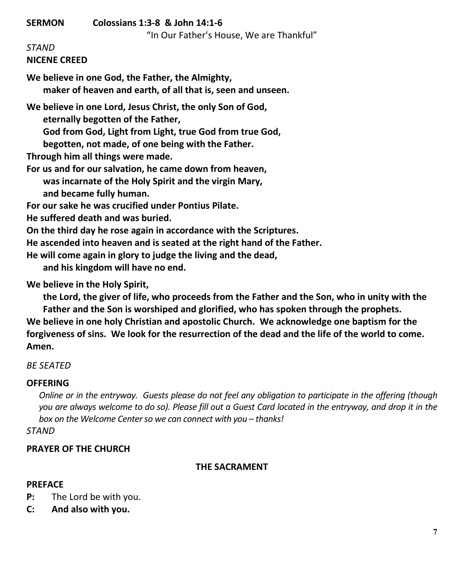### **SERMON****Colossians 1:3-8 & John 14:1-6**

"In Our Father's House, We are Thankful"

#### *STAND*

#### **NICENE CREED**

**We believe in one God, the Father, the Almighty, maker of heaven and earth, of all that is, seen and unseen.**

**We believe in one Lord, Jesus Christ, the only Son of God,**

**eternally begotten of the Father,**

**God from God, Light from Light, true God from true God,**

**begotten, not made, of one being with the Father.**

**Through him all things were made.**

**For us and for our salvation, he came down from heaven, was incarnate of the Holy Spirit and the virgin Mary, and became fully human.**

**For our sake he was crucified under Pontius Pilate.**

**He suffered death and was buried.**

**On the third day he rose again in accordance with the Scriptures.**

**He ascended into heaven and is seated at the right hand of the Father.**

**He will come again in glory to judge the living and the dead,**

**and his kingdom will have no end.**

### **We believe in the Holy Spirit,**

**the Lord, the giver of life, who proceeds from the Father and the Son, who in unity with the Father and the Son is worshiped and glorified, who has spoken through the prophets. We believe in one holy Christian and apostolic Church. We acknowledge one baptism for the forgiveness of sins. We look for the resurrection of the dead and the life of the world to come. Amen.**

*BE SEATED*

#### **OFFERING**

*Online or in the entryway. Guests please do not feel any obligation to participate in the offering (though you are always welcome to do so). Please fill out a Guest Card located in the entryway, and drop it in the box on the Welcome Center so we can connect with you – thanks!*

#### *STAND*

### **PRAYER OF THE CHURCH**

### **THE SACRAMENT**

#### **PREFACE**

- **P:** The Lord be with you.
- **C: And also with you.**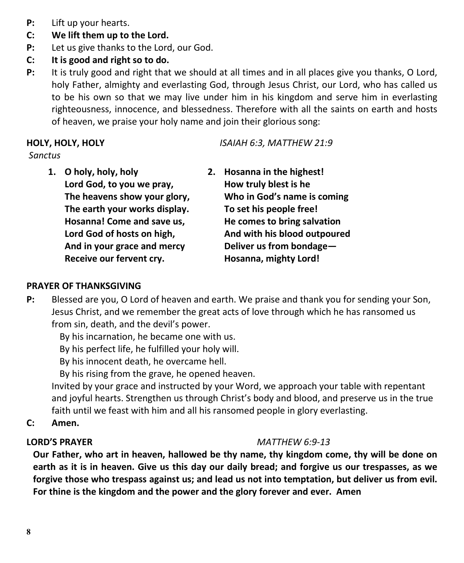- **P:** Lift up your hearts.
- **C: We lift them up to the Lord.**
- **P:** Let us give thanks to the Lord, our God.
- **C: It is good and right so to do.**
- **P:** It is truly good and right that we should at all times and in all places give you thanks, O Lord, holy Father, almighty and everlasting God, through Jesus Christ, our Lord, who has called us to be his own so that we may live under him in his kingdom and serve him in everlasting righteousness, innocence, and blessedness. Therefore with all the saints on earth and hosts of heaven, we praise your holy name and join their glorious song:

#### *Sanctus*

**1. O holy, holy, holy Lord God, to you we pray, The heavens show your glory, The earth your works display. Hosanna! Come and save us, Lord God of hosts on high, And in your grace and mercy Receive our fervent cry.**

### **HOLY, HOLY, HOLY** *ISAIAH 6:3, MATTHEW 21:9*

**2. Hosanna in the highest! How truly blest is he Who in God's name is coming To set his people free! He comes to bring salvation And with his blood outpoured Deliver us from bondage— Hosanna, mighty Lord!**

#### **PRAYER OF THANKSGIVING**

**P:** Blessed are you, O Lord of heaven and earth. We praise and thank you for sending your Son, Jesus Christ, and we remember the great acts of love through which he has ransomed us from sin, death, and the devil's power.

By his incarnation, he became one with us.

By his perfect life, he fulfilled your holy will.

By his innocent death, he overcame hell.

By his rising from the grave, he opened heaven.

Invited by your grace and instructed by your Word, we approach your table with repentant and joyful hearts. Strengthen us through Christ's body and blood, and preserve us in the true faith until we feast with him and all his ransomed people in glory everlasting.

**C: Amen.** 

### **LORD'S PRAYER** *MATTHEW 6:9-13*

**Our Father, who art in heaven, hallowed be thy name, thy kingdom come, thy will be done on earth as it is in heaven. Give us this day our daily bread; and forgive us our trespasses, as we forgive those who trespass against us; and lead us not into temptation, but deliver us from evil. For thine is the kingdom and the power and the glory forever and ever. Amen**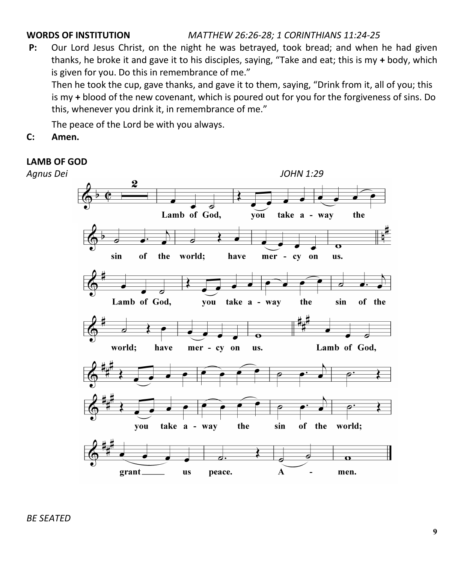**P:** Our Lord Jesus Christ, on the night he was betrayed, took bread; and when he had given thanks, he broke it and gave it to his disciples, saying, "Take and eat; this is my **+** body, which is given for you. Do this in remembrance of me."

Then he took the cup, gave thanks, and gave it to them, saying, "Drink from it, all of you; this is my **+** blood of the new covenant, which is poured out for you for the forgiveness of sins. Do this, whenever you drink it, in remembrance of me."

The peace of the Lord be with you always.

**C: Amen.**

### **LAMB OF GOD**

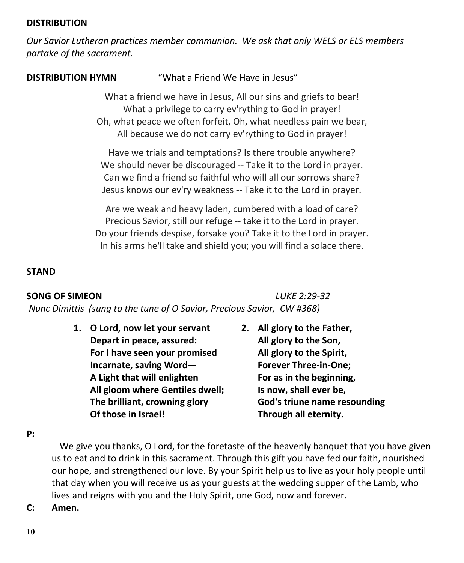#### **DISTRIBUTION**

*Our Savior Lutheran practices member communion. We ask that only WELS or ELS members partake of the sacrament.* 

#### **DISTRIBUTION HYMN** "What a Friend We Have in Jesus"

What a friend we have in Jesus, All our sins and griefs to bear! What a privilege to carry ev'rything to God in prayer! Oh, what peace we often forfeit, Oh, what needless pain we bear, All because we do not carry ev'rything to God in prayer!

Have we trials and temptations? Is there trouble anywhere? We should never be discouraged -- Take it to the Lord in prayer. Can we find a friend so faithful who will all our sorrows share? Jesus knows our ev'ry weakness -- Take it to the Lord in prayer.

Are we weak and heavy laden, cumbered with a load of care? Precious Savior, still our refuge -- take it to the Lord in prayer. Do your friends despise, forsake you? Take it to the Lord in prayer. In his arms he'll take and shield you; you will find a solace there.

#### **STAND**

#### **SONG OF SIMEON** *LUKE 2:29-32*

*Nunc Dimittis (sung to the tune of O Savior, Precious Savior, CW #368)*

- **1. O Lord, now let your servant Depart in peace, assured: For I have seen your promised Incarnate, saving Word— A Light that will enlighten All gloom where Gentiles dwell; The brilliant, crowning glory Of those in Israel!**
- **2. All glory to the Father, All glory to the Son, All glory to the Spirit, Forever Three-in-One; For as in the beginning, Is now, shall ever be, God's triune name resounding Through all eternity.**

**P:**

We give you thanks, O Lord, for the foretaste of the heavenly banquet that you have given us to eat and to drink in this sacrament. Through this gift you have fed our faith, nourished our hope, and strengthened our love. By your Spirit help us to live as your holy people until that day when you will receive us as your guests at the wedding supper of the Lamb, who lives and reigns with you and the Holy Spirit, one God, now and forever.

**C: Amen.**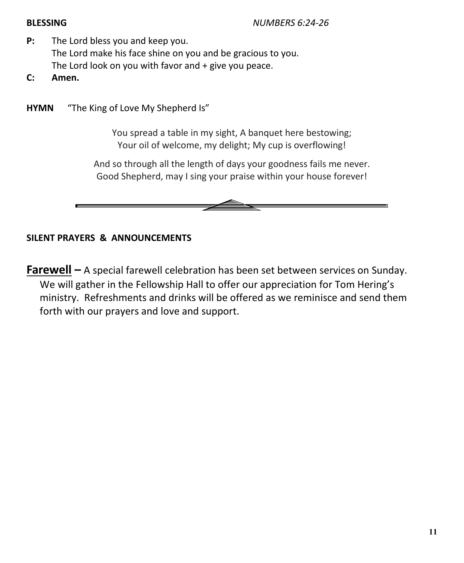- **P:** The Lord bless you and keep you. The Lord make his face shine on you and be gracious to you. The Lord look on you with favor and + give you peace.
- **C: Amen.**

**HYMN** "The King of Love My Shepherd Is"

You spread a table in my sight, A banquet here bestowing; Your oil of welcome, my delight; My cup is overflowing!

And so through all the length of days your goodness fails me never. Good Shepherd, may I sing your praise within your house forever!



### **SILENT PRAYERS & ANNOUNCEMENTS**

**Farewell –** A special farewell celebration has been set between services on Sunday. We will gather in the Fellowship Hall to offer our appreciation for Tom Hering's ministry. Refreshments and drinks will be offered as we reminisce and send them forth with our prayers and love and support.